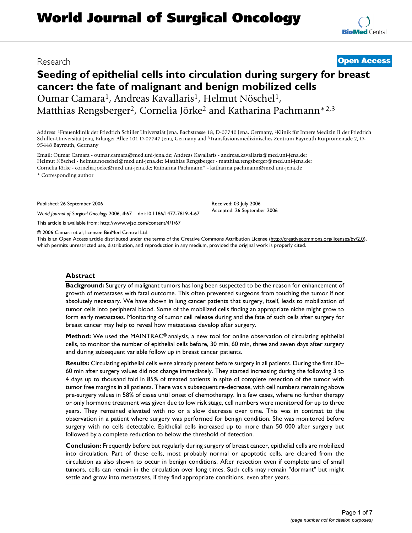### Research **[Open Access](http://www.biomedcentral.com/info/about/charter/)**

## **Seeding of epithelial cells into circulation during surgery for breast cancer: the fate of malignant and benign mobilized cells** Oumar Camara<sup>1</sup>, Andreas Kavallaris<sup>1</sup>, Helmut Nöschel<sup>1</sup>, Matthias Rengsberger<sup>2</sup>, Cornelia Jörke<sup>2</sup> and Katharina Pachmann<sup>\*2,3</sup>

Address: 1Frauenklinik der Friedrich Schiller Universtiät Jena, Bachstrasse 18, D-07740 Jena, Germany, 2Klinik für Innere Medizin II der Friedrich Schiller-Universität Jena, Erlanger Allee 101 D-07747 Jena, Germany and 3Transfusionsmedizinisches Zentrum Bayreuth Kurpromenade 2, D-95448 Bayreuth, Germany

Email: Oumar Camara - oumar.camara@med.uni-jena.de; Andreas Kavallaris - andreas.kavallaris@med.uni-jena.de; Helmut Nöschel - helmut.noeschel@med.uni-jena.de; Matthias Rengsberger - matthias.rengsberger@med.uni-jena.de; Cornelia Jörke - cornelia.joeke@med.uni-jena.de; Katharina Pachmann\* - katharina.pachmann@med.uni-jena.de

\* Corresponding author

Published: 26 September 2006

*World Journal of Surgical Oncology* 2006, **4**:67 doi:10.1186/1477-7819-4-67

[This article is available from: http://www.wjso.com/content/4/1/67](http://www.wjso.com/content/4/1/67)

© 2006 Camara et al; licensee BioMed Central Ltd.

This is an Open Access article distributed under the terms of the Creative Commons Attribution License [\(http://creativecommons.org/licenses/by/2.0\)](http://creativecommons.org/licenses/by/2.0), which permits unrestricted use, distribution, and reproduction in any medium, provided the original work is properly cited.

#### **Abstract**

**Background:** Surgery of malignant tumors has long been suspected to be the reason for enhancement of growth of metastases with fatal outcome. This often prevented surgeons from touching the tumor if not absolutely necessary. We have shown in lung cancer patients that surgery, itself, leads to mobilization of tumor cells into peripheral blood. Some of the mobilized cells finding an appropriate niche might grow to form early metastases. Monitoring of tumor cell release during and the fate of such cells after surgery for breast cancer may help to reveal how metastases develop after surgery.

**Method:** We used the MAINTRAC® analysis, a new tool for online observation of circulating epithelial cells, to monitor the number of epithelial cells before, 30 min, 60 min, three and seven days after surgery and during subsequent variable follow up in breast cancer patients.

**Results:** Circulating epithelial cells were already present before surgery in all patients. During the first 30– 60 min after surgery values did not change immediately. They started increasing during the following 3 to 4 days up to thousand fold in 85% of treated patients in spite of complete resection of the tumor with tumor free margins in all patients. There was a subsequent re-decrease, with cell numbers remaining above pre-surgery values in 58% of cases until onset of chemotherapy. In a few cases, where no further therapy or only hormone treatment was given due to low risk stage, cell numbers were monitored for up to three years. They remained elevated with no or a slow decrease over time. This was in contrast to the observation in a patient where surgery was performed for benign condition. She was monitored before surgery with no cells detectable. Epithelial cells increased up to more than 50 000 after surgery but followed by a complete reduction to below the threshold of detection.

**Conclusion:** Frequently before but regularly during surgery of breast cancer, epithelial cells are mobilized into circulation. Part of these cells, most probably normal or apoptotic cells, are cleared from the circulation as also shown to occur in benign conditions. After resection even if complete and of small tumors, cells can remain in the circulation over long times. Such cells may remain "dormant" but might settle and grow into metastases, if they find appropriate conditions, even after years.

Received: 03 July 2006 Accepted: 26 September 2006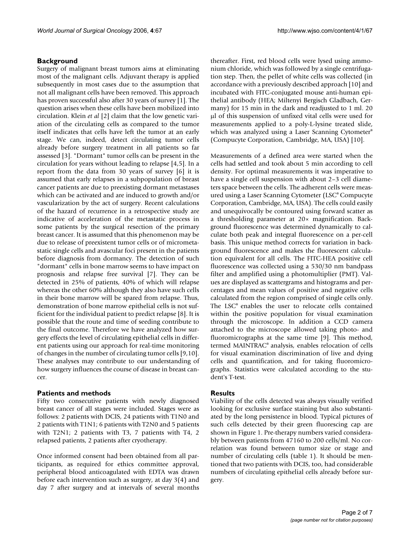#### **Background**

Surgery of malignant breast tumors aims at eliminating most of the malignant cells. Adjuvant therapy is applied subsequently in most cases due to the assumption that not all malignant cells have been removed. This approach has proven successful also after 30 years of survey [1]. The question arises when these cells have been mobilized into circulation. Klein *et al* [2] claim that the low genetic variation of the circulating cells as compared to the tumor itself indicates that cells have left the tumor at an early stage. We can, indeed, detect circulating tumor cells already before surgery treatment in all patients so far assessed [3]. "Dormant" tumor cells can be present in the circulation for years without leading to relapse [4,5]. In a report from the data from 30 years of survey [6] it is assumed that early relapses in a subpopulation of breast cancer patients are due to preexisting dormant metastases which can be activated and are induced to growth and/or vascularization by the act of surgery. Recent calculations of the hazard of recurrence in a retrospective study are indicative of acceleration of the metastatic process in some patients by the surgical resection of the primary breast cancer. It is assumed that this phenomenon may be due to release of preexistent tumor cells or of micrometastatic single cells and avascular foci present in the patients before diagnosis from dormancy. The detection of such "dormant" cells in bone marrow seems to have impact on prognosis and relapse free survival [7]. They can be detected in 25% of patients, 40% of which will relapse whereas the other 60% although they also have such cells in their bone marrow will be spared from relapse. Thus, demonstration of bone marrow epithelial cells is not sufficient for the individual patient to predict relapse [8]. It is possible that the route and time of seeding contribute to the final outcome. Therefore we have analyzed how surgery effects the level of circulating epithelial cells in different patients using our approach for real-time monitoring of changes in the number of circulating tumor cells [9,10]. These analyses may contribute to our understanding of how surgery influences the course of disease in breast cancer.

#### **Patients and methods**

Fifty two consecutive patients with newly diagnosed breast cancer of all stages were included. Stages were as follows: 2 patients with DCIS, 24 patients with T1N0 and 2 patients with T1N1; 6 patients with T2N0 and 5 patients with T2N1; 2 patients with T3, 7 patients with T4, 2 relapsed patients, 2 patients after cryotherapy.

Once informed consent had been obtained from all participants, as required for ethics committee approval, peripheral blood anticoagulated with EDTA was drawn before each intervention such as surgery, at day 3(4) and day 7 after surgery and at intervals of several months

thereafter. First, red blood cells were lysed using ammonium chloride, which was followed by a single centrifugation step. Then, the pellet of white cells was collected (in accordance with a previously described approach [10] and incubated with FITC-conjugated mouse anti-human epithelial antibody (HEA; Miltenyi Bergisch Gladbach, Germany) for 15 min in the dark and readjusted to 1 ml. 20 µl of this suspension of unfixed vital cells were used for measurements applied to a poly-L-lysine treated slide, which was analyzed using a Laser Scanning Cytometer® (Compucyte Corporation, Cambridge, MA, USA) [10].

Measurements of a defined area were started when the cells had settled and took about 5 min according to cell density. For optimal measurements it was imperative to have a single cell suspension with about 2–3 cell diameters space between the cells. The adherent cells were measured using a Laser Scanning Cytometer (LSC® Compucyte Corporation, Cambridge, MA, USA). The cells could easily and unequivocally be contoured using forward scatter as a thresholding parameter at 20× magnification. Background fluorescence was determined dynamically to calculate both peak and integral fluorescence on a per-cell basis. This unique method corrects for variation in background fluorescence and makes the fluorescent calculation equivalent for all cells. The FITC-HEA positive cell fluorescence was collected using a 530/30 nm bandpass filter and amplified using a photomultiplier (PMT). Values are displayed as scattergrams and histograms and percentages and mean values of positive and negative cells calculated from the region comprised of single cells only. The LSC® enables the user to relocate cells contained within the positive population for visual examination through the microscope. In addition a CCD camera attached to the microscope allowed taking photo- and fluoromicrographs at the same time [9]. This method, termed MAINTRAC® analysis, enables relocation of cells for visual examination discrimination of live and dying cells and quantification, and for taking fluoromicrographs. Statistics were calculated according to the student's T-test.

#### **Results**

Viability of the cells detected was always visually verified looking for exclusive surface staining but also substantiated by the long persistence in blood. Typical pictures of such cells detected by their green fluorescing cap are shown in Figure 1. Pre-therapy numbers varied considerably between patients from 47160 to 200 cells/ml. No correlation was found between tumor size or stage and number of circulating cells (table 1). It should be mentioned that two patients with DCIS, too, had considerable numbers of circulating epithelial cells already before surgery.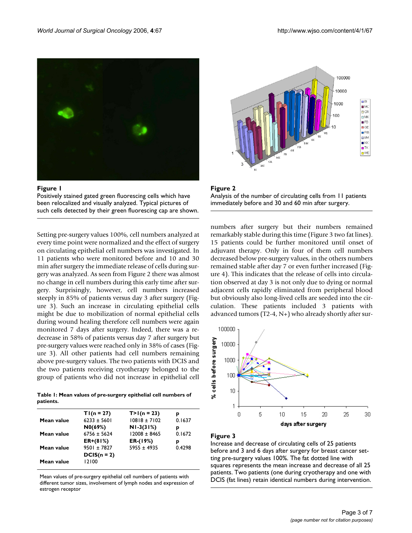



Setting pre-surgery values 100%, cell numbers analyzed at every time point were normalized and the effect of surgery on circulating epithelial cell numbers was investigated. In 11 patients who were monitored before and 10 and 30 min after surgery the immediate release of cells during surgery was analyzed. As seen from Figure 2 there was almost no change in cell numbers during this early time after surgery. Surprisingly, however, cell numbers increased steeply in 85% of patients versus day 3 after surgery (Figure 3). Such an increase in circulating epithelial cells might be due to mobilization of normal epithelial cells during wound healing therefore cell numbers were again monitored 7 days after surgery. Indeed, there was a redecrease in 58% of patients versus day 7 after surgery but pre-surgery values were reached only in 38% of cases (Figure 3). All other patients had cell numbers remaining above pre-surgery values. The two patients with DCIS and the two patients receiving cryotherapy belonged to the group of patients who did not increase in epithelial cell

**Table 1: Mean values of pre-surgery epithelial cell numbers of patients.**

|            | $T1(n = 27)$    | $T>1(n = 23)$    | р      |  |
|------------|-----------------|------------------|--------|--|
| Mean value | $6233 \pm 5601$ | $10818 \pm 7102$ | 0.1637 |  |
|            | N0(69%)         | $NI-3(31%)$      | р      |  |
| Mean value | $6756 \pm 5624$ | $12008 \pm 8465$ | 0.1672 |  |
|            | $ER+(81%)$      | ER-(19%)         | р      |  |
| Mean value | $9501 \pm 7827$ | $5955 \pm 4935$  | 0.4298 |  |
|            | $DCIS(n = 2)$   |                  |        |  |
| Mean value | 12100           |                  |        |  |
|            |                 |                  |        |  |

Mean values of pre-surgery epithelial cell numbers of patients with different tumor sizes, involvement of lymph nodes and expression of estrogen receptor





numbers after surgery but their numbers remained remarkably stable during this time (Figure 3 two fat lines). 15 patients could be further monitored until onset of adjuvant therapy. Only in four of them cell numbers decreased below pre-surgery values, in the others numbers remained stable after day 7 or even further increased (Figure 4). This indicates that the release of cells into circulation observed at day 3 is not only due to dying or normal adjacent cells rapidly eliminated from peripheral blood but obviously also long-lived cells are seeded into the circulation. These patients included 3 patients with advanced tumors (T2-4, N+) who already shortly after sur-



#### **Figure 3**

Increase and decrease of circulating cells of 25 patients before and 3 and 6 days after surgery for breast cancer setting pre-surgery values 100%. The fat dotted line with squares represents the mean increase and decrease of all 25 patients. Two patients (one during cryotherapy and one with DCIS (fat lines) retain identical numbers during intervention.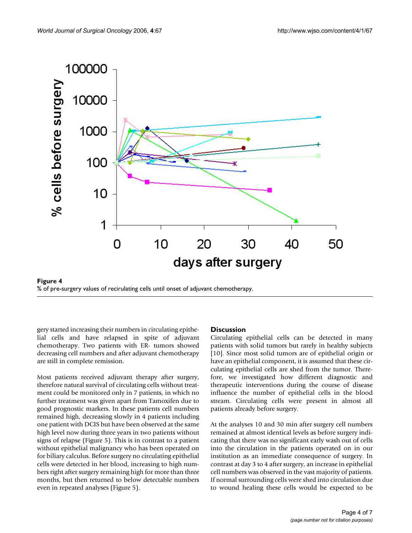



gery started increasing their numbers in circulating epithelial cells and have relapsed in spite of adjuvant chemotherapy. Two patients with ER- tumors showed decreasing cell numbers and after adjuvant chemotherapy are still in complete remission.

Most patients received adjuvant therapy after surgery, therefore natural survival of circulating cells without treatment could be monitored only in 7 patients, in which no further treatment was given apart from Tamoxifen due to good prognostic markers. In these patients cell numbers remained high, decreasing slowly in 4 patients including one patient with DCIS but have been observed at the same high level now during three years in two patients without signs of relapse (Figure 5). This is in contrast to a patient without epithelial malignancy who has been operated on for biliary calculus. Before surgery no circulating epithelial cells were detected in her blood, increasing to high numbers right after surgery remaining high for more than three months, but then returned to below detectable numbers even in repeated analyses (Figure 5).

#### **Discussion**

Circulating epithelial cells can be detected in many patients with solid tumors but rarely in healthy subjects [10]. Since most solid tumors are of epithelial origin or have an epithelial component, it is assumed that these circulating epithelial cells are shed from the tumor. Therefore, we investigated how different diagnostic and therapeutic interventions during the course of disease influence the number of epithelial cells in the blood stream. Circulating cells were present in almost all patients already before surgery.

At the analyses 10 and 30 min after surgery cell numbers remained at almost identical levels as before surgery indicating that there was no significant early wash out of cells into the circulation in the patients operated on in our institution as an immediate consequence of surgery. In contrast at day 3 to 4 after surgery, an increase in epithelial cell numbers was observed in the vast majority of patients. If normal surrounding cells were shed into circulation due to wound healing these cells would be expected to be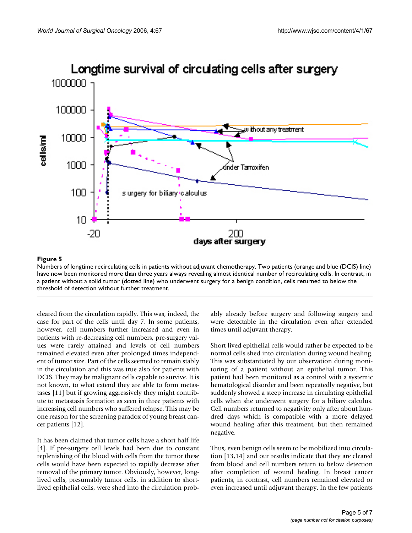

# Longtime survival of circulating cells after surgery

#### Numbers of longtime recircul **Figure 5** ating cells in patients without adjuvant chemotherapy

Numbers of longtime recirculating cells in patients without adjuvant chemotherapy. Two patients (orange and blue (DCIS) line) have now been monitored more than three years always revealing almost identical number of recirculating cells. In contrast, in a patient without a solid tumor (dotted line) who underwent surgery for a benign condition, cells returned to below the threshold of detection without further treatment.

cleared from the circulation rapidly. This was, indeed, the case for part of the cells until day 7. In some patients, however, cell numbers further increased and even in patients with re-decreasing cell numbers, pre-surgery values were rarely attained and levels of cell numbers remained elevated even after prolonged times independent of tumor size. Part of the cells seemed to remain stably in the circulation and this was true also for patients with DCIS. They may be malignant cells capable to survive. It is not known, to what extend they are able to form metastases [11] but if growing aggressively they might contribute to metastasis formation as seen in three patients with increasing cell numbers who suffered relapse. This may be one reason for the screening paradox of young breast cancer patients [12].

It has been claimed that tumor cells have a short half life [4]. If pre-surgery cell levels had been due to constant replenishing of the blood with cells from the tumor these cells would have been expected to rapidly decrease after removal of the primary tumor. Obviously, however, longlived cells, presumably tumor cells, in addition to shortlived epithelial cells, were shed into the circulation probably already before surgery and following surgery and were detectable in the circulation even after extended times until adjuvant therapy.

Short lived epithelial cells would rather be expected to be normal cells shed into circulation during wound healing. This was substantiated by our observation during monitoring of a patient without an epithelial tumor. This patient had been monitored as a control with a systemic hematological disorder and been repeatedly negative, but suddenly showed a steep increase in circulating epithelial cells when she underwent surgery for a biliary calculus. Cell numbers returned to negativity only after about hundred days which is compatible with a more delayed wound healing after this treatment, but then remained negative.

Thus, even benign cells seem to be mobilized into circulation [13,14] and our results indicate that they are cleared from blood and cell numbers return to below detection after completion of wound healing. In breast cancer patients, in contrast, cell numbers remained elevated or even increased until adjuvant therapy. In the few patients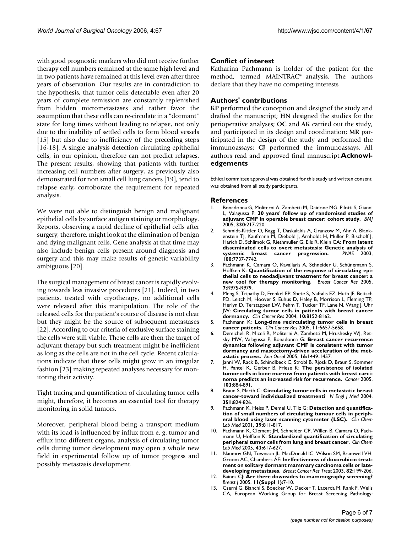with good prognostic markers who did not receive further therapy cell numbers remained at the same high level and in two patients have remained at this level even after three years of observation. Our results are in contradiction to the hypothesis, that tumor cells detectable even after 20 years of complete remission are constantly replenished from hidden micrometastases and rather favor the assumption that these cells can re-circulate in a "dormant" state for long times without leading to relapse, not only due to the inability of settled cells to form blood vessels [15] but also due to inefficiency of the preceding steps [16-18]. A single analysis detection circulating epithelial cells, in our opinion, therefore can not predict relapses. The present results, showing that patients with further increasing cell numbers after surgery, as previously also demonstrated for non small cell lung cancers [19], tend to relapse early, corroborate the requirement for repeated analysis.

We were not able to distinguish benign and malignant epithelial cells by surface antigen staining or morphology. Reports, observing a rapid decline of epithelial cells after surgery, therefore, might look at the elimination of benign and dying malignant cells. Gene analysis at that time may also include benign cells present around diagnosis and surgery and this may make results of genetic variability ambiguous [20].

The surgical management of breast cancer is rapidly evolving towards less invasive procedures [21]. Indeed, in two patients, treated with cryotherapy, no additional cells were released after this manipulation. The role of the released cells for the patient's course of disease is not clear but they might be the source of subsequent metastases [22]. According to our criteria of exclusive surface staining the cells were still viable. These cells are then the target of adjuvant therapy but such treatment might be inefficient as long as the cells are not in the cell cycle. Recent calculations indicate that these cells might grow in an irregular fashion [23] making repeated analyses necessary for monitoring their activity.

Tight tracing and quantification of circulating tumor cells might, therefore, it becomes an essential tool for therapy monitoring in solid tumors.

Moreover, peripheral blood being a transport medium with its load is influenced by influx from e. g. tumor and efflux into different organs, analysis of circulating tumor cells during tumor development may open a whole new field in experimental follow up of tumor progress and possibly metastasis development.

#### **Conflict of interest**

Katharina Pachmann is holder of the patient for the method, termed MAINTRAC® analysis. The authors declare that they have no competing interests

#### **Authors' contributions**

**KP** performed the conception and designof the study and drafted the manuscript; **HN** designed the studies for the perioperative analyses; **OC** and **AK** carried out the study, and participated in its design and coordination; **MR** participated in the design of the study and performed the immunoassays; **CJ** performed the immunoassays. All authors read and approved final manuscript.**Acknowledgements**

Ethical committee approval was obtained for this study and written consent was obtained from all study participants.

#### **References**

- 1. Bonadonna G, Moliterni A, Zambetti M, Daidone MG, Pilotti S, Gianni L, Valagussa P: **[30 years' follow up of randomised studies of](http://www.ncbi.nlm.nih.gov/entrez/query.fcgi?cmd=Retrieve&db=PubMed&dopt=Abstract&list_uids=15649903) [adjuvant CMF in operable breast cancer: cohort study.](http://www.ncbi.nlm.nih.gov/entrez/query.fcgi?cmd=Retrieve&db=PubMed&dopt=Abstract&list_uids=15649903)** *BMJ* 2005, **330:**217-220.
- 2. Schmidt-Kittler O, Ragg T, Daskalakis A, Granzow M, Ahr A, Blankenstein TJ, Kaufmann M, Diebold J, Arnholdt H, Muller P, Bischoff J, Harich D, Schlimok G, Riethmuller G, Eils R, Klein CA: **[From latent](http://www.ncbi.nlm.nih.gov/entrez/query.fcgi?cmd=Retrieve&db=PubMed&dopt=Abstract&list_uids=12808139) [disseminated cells to overt metastasis: Genetic analysis of](http://www.ncbi.nlm.nih.gov/entrez/query.fcgi?cmd=Retrieve&db=PubMed&dopt=Abstract&list_uids=12808139)**  $systemic$  breast cancer progression. **100:**7737-7742.
- 3. Pachmann K, Camara O, Kavallaris A, Schneider U, Schünemann S, Höffken K: **[Quantification of the response of circulating epi](http://www.ncbi.nlm.nih.gov/entrez/query.fcgi?cmd=Retrieve&db=PubMed&dopt=Abstract&list_uids=16280045)[thelial cells to neodadjuvant treatment for breast cancer: a](http://www.ncbi.nlm.nih.gov/entrez/query.fcgi?cmd=Retrieve&db=PubMed&dopt=Abstract&list_uids=16280045) [new tool for therapy monitoring.](http://www.ncbi.nlm.nih.gov/entrez/query.fcgi?cmd=Retrieve&db=PubMed&dopt=Abstract&list_uids=16280045)** *Breast Cancer Res* 2005, **7:**R975-R979.
- 4. Meng S, Tripathy D, Frenkel EP, Shete S, Naftalis EZ, Huth JF, Beitsch PD, Leitch M, Hoover S, Euhus D, Haley B, Morrison L, Fleming TP, Herlyn D, Terstappen LW, Fehm T, Tucker TF, Lane N, Wang J, Uhr JW: **[Circulating tumor cells in patients with breast cancer](http://www.ncbi.nlm.nih.gov/entrez/query.fcgi?cmd=Retrieve&db=PubMed&dopt=Abstract&list_uids=15623589) [dormancy.](http://www.ncbi.nlm.nih.gov/entrez/query.fcgi?cmd=Retrieve&db=PubMed&dopt=Abstract&list_uids=15623589)** *Clin Cancer Res* 2004, **10:**8152-8162.
- 5. Pachmann K: **[Long-time recirculating tumor cells in breast](http://www.ncbi.nlm.nih.gov/entrez/query.fcgi?cmd=Retrieve&db=PubMed&dopt=Abstract&list_uids=16061886) [cancer patients.](http://www.ncbi.nlm.nih.gov/entrez/query.fcgi?cmd=Retrieve&db=PubMed&dopt=Abstract&list_uids=16061886)** *Clin Cancer Res* 2005, **11:**5657-5658.
- 6. Demicheli R, Miceli R, Moliterni A, Zambetti M, Hrushesky WJ, Retsky MW, Valagussa P, Bonadonna G: **[Breast cancer recurrence](http://www.ncbi.nlm.nih.gov/entrez/query.fcgi?cmd=Retrieve&db=PubMed&dopt=Abstract&list_uids=15956037) dynamics following adjuvant CMF is consistent with tumor [dormancy and mastectomy-driven acceleration of the met](http://www.ncbi.nlm.nih.gov/entrez/query.fcgi?cmd=Retrieve&db=PubMed&dopt=Abstract&list_uids=15956037)[astatic process.](http://www.ncbi.nlm.nih.gov/entrez/query.fcgi?cmd=Retrieve&db=PubMed&dopt=Abstract&list_uids=15956037)** *Ann Oncol* 2005, **16:**1449-1457.
- 7. Janni W, Rack B, Schindlbeck C, Strobl B, Rjosk D, Braun S, Sommer H, Pantel K, Gerber B, Friese K: **[The persistence of isolated](http://www.ncbi.nlm.nih.gov/entrez/query.fcgi?cmd=Retrieve&db=PubMed&dopt=Abstract&list_uids=15666325) [tumor cells in bone marrow from patients with breast carci](http://www.ncbi.nlm.nih.gov/entrez/query.fcgi?cmd=Retrieve&db=PubMed&dopt=Abstract&list_uids=15666325)[noma predicts an increased risk for recurrence.](http://www.ncbi.nlm.nih.gov/entrez/query.fcgi?cmd=Retrieve&db=PubMed&dopt=Abstract&list_uids=15666325)** *Cancer* 2005, **103:**884-891.
- 8. Braun S, Marth C: **[Circulating tumor cells in metastatic breast](http://www.ncbi.nlm.nih.gov/entrez/query.fcgi?cmd=Retrieve&db=PubMed&dopt=Abstract&list_uids=15317898) [cancer-toward individualized treatment?](http://www.ncbi.nlm.nih.gov/entrez/query.fcgi?cmd=Retrieve&db=PubMed&dopt=Abstract&list_uids=15317898)** *N Engl J Med* 2004, **351:**824-826.
- 9. Pachmann K, Heiss P, Demel U, Tilz G: **[Detection and quantifica](http://www.ncbi.nlm.nih.gov/entrez/query.fcgi?cmd=Retrieve&db=PubMed&dopt=Abstract&list_uids=11601678)[tion of small numbers of circulating tumour cells in periph](http://www.ncbi.nlm.nih.gov/entrez/query.fcgi?cmd=Retrieve&db=PubMed&dopt=Abstract&list_uids=11601678)[eral blood using laser scanning cytometer \(LSC\).](http://www.ncbi.nlm.nih.gov/entrez/query.fcgi?cmd=Retrieve&db=PubMed&dopt=Abstract&list_uids=11601678)** *Clin Chem Lab Med* 2001, **39:**811-817.
- 10. Pachmann K, Clement JH, Schneider CP, Willen B, Camara O, Pachmann U, Höffken K: **[Standardized quantification of circulating](http://www.ncbi.nlm.nih.gov/entrez/query.fcgi?cmd=Retrieve&db=PubMed&dopt=Abstract&list_uids=16006258) [peripheral tumor cells from lung and breast cancer.](http://www.ncbi.nlm.nih.gov/entrez/query.fcgi?cmd=Retrieve&db=PubMed&dopt=Abstract&list_uids=16006258)** *Clin Chem Lab Med* 2005, **43:**617-627.
- 11. Naumov GN, Townson JL, MacDonald IC, Wilson SM, Bramwell VH, Groom AC, Chambers AF: **[Ineffectiveness of doxorubicin treat](http://www.ncbi.nlm.nih.gov/entrez/query.fcgi?cmd=Retrieve&db=PubMed&dopt=Abstract&list_uids=14703067)[ment on solitary dormant mammary carcinoma cells or late](http://www.ncbi.nlm.nih.gov/entrez/query.fcgi?cmd=Retrieve&db=PubMed&dopt=Abstract&list_uids=14703067)[developing metastases.](http://www.ncbi.nlm.nih.gov/entrez/query.fcgi?cmd=Retrieve&db=PubMed&dopt=Abstract&list_uids=14703067)** *Breast Cancer Res Treat* 2003, **82:**199-206.
- 12. Baines CJ: **Are there downsides to mammography screening?** *Breast J* 2005, **11(Suppl 1):**7-10.
- 13. Cserni G, Bianchi S, Boecker W, Decker T, Lacerda M, Rank F, Wells CA, European Working Group for Breast Screening Pathology: